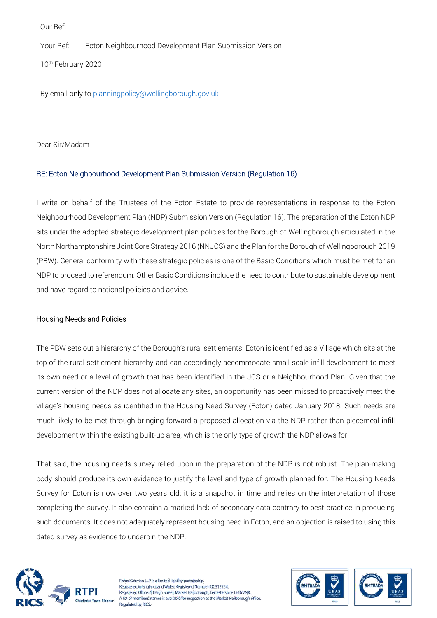Our Ref:

Your Ref: Ecton Neighbourhood Development Plan Submission Version

10th February 2020

By email only to [planningpolicy@wellingborough.gov.uk](mailto:planningpolicy@wellingborough.gov.uk)

Dear Sir/Madam

## RE: Ecton Neighbourhood Development Plan Submission Version (Regulation 16)

I write on behalf of the Trustees of the Ecton Estate to provide representations in response to the Ecton Neighbourhood Development Plan (NDP) Submission Version (Regulation 16). The preparation of the Ecton NDP sits under the adopted strategic development plan policies for the Borough of Wellingborough articulated in the North Northamptonshire Joint Core Strategy 2016 (NNJCS) and the Plan for the Borough of Wellingborough 2019 (PBW). General conformity with these strategic policies is one of the Basic Conditions which must be met for an NDP to proceed to referendum. Other Basic Conditions include the need to contribute to sustainable development and have regard to national policies and advice.

## Housing Needs and Policies

The PBW sets out a hierarchy of the Borough's rural settlements. Ecton is identified as a Village which sits at the top of the rural settlement hierarchy and can accordingly accommodate small-scale infill development to meet its own need or a level of growth that has been identified in the JCS or a Neighbourhood Plan. Given that the current version of the NDP does not allocate any sites, an opportunity has been missed to proactively meet the village's housing needs as identified in the Housing Need Survey (Ecton) dated January 2018. Such needs are much likely to be met through bringing forward a proposed allocation via the NDP rather than piecemeal infill development within the existing built-up area, which is the only type of growth the NDP allows for.

That said, the housing needs survey relied upon in the preparation of the NDP is not robust. The plan-making body should produce its own evidence to justify the level and type of growth planned for. The Housing Needs Survey for Ecton is now over two years old; it is a snapshot in time and relies on the interpretation of those completing the survey. It also contains a marked lack of secondary data contrary to best practice in producing such documents. It does not adequately represent housing need in Ecton, and an objection is raised to using this dated survey as evidence to underpin the NDP.



Fisher German LLP is a limited liability partnership. Registered in England and Wales, Registered Number: OC317554. Registered Office: 40 High Street, Market Harborough, Leicestershire LE16 7NX A list of members' names is available for inspection at the Market Harborough office. Regulated by RICS

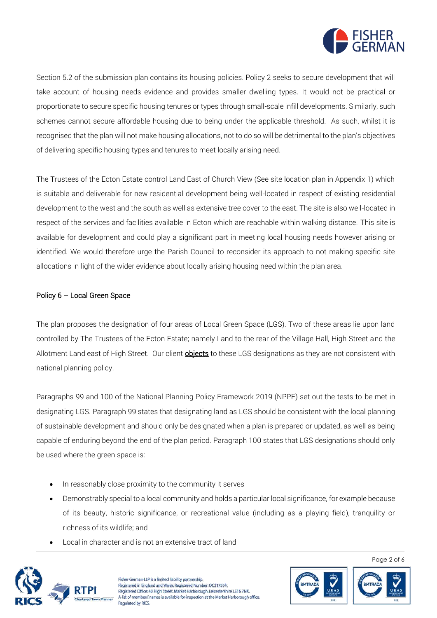

Section 5.2 of the submission plan contains its housing policies. Policy 2 seeks to secure development that will take account of housing needs evidence and provides smaller dwelling types. It would not be practical or proportionate to secure specific housing tenures or types through small-scale infill developments. Similarly, such schemes cannot secure affordable housing due to being under the applicable threshold. As such, whilst it is recognised that the plan will not make housing allocations, not to do so will be detrimental to the plan's objectives of delivering specific housing types and tenures to meet locally arising need.

The Trustees of the Ecton Estate control Land East of Church View (See site location plan in Appendix 1) which is suitable and deliverable for new residential development being well-located in respect of existing residential development to the west and the south as well as extensive tree cover to the east. The site is also well-located in respect of the services and facilities available in Ecton which are reachable within walking distance. This site is available for development and could play a significant part in meeting local housing needs however arising or identified. We would therefore urge the Parish Council to reconsider its approach to not making specific site allocations in light of the wider evidence about locally arising housing need within the plan area.

## Policy 6 – Local Green Space

The plan proposes the designation of four areas of Local Green Space (LGS). Two of these areas lie upon land controlled by The Trustees of the Ecton Estate; namely Land to the rear of the Village Hall, High Street and the Allotment Land east of High Street. Our client **objects** to these LGS designations as they are not consistent with national planning policy.

Paragraphs 99 and 100 of the National Planning Policy Framework 2019 (NPPF) set out the tests to be met in designating LGS. Paragraph 99 states that designating land as LGS should be consistent with the local planning of sustainable development and should only be designated when a plan is prepared or updated, as well as being capable of enduring beyond the end of the plan period. Paragraph 100 states that LGS designations should only be used where the green space is:

- In reasonably close proximity to the community it serves
- Demonstrably special to a local community and holds a particular local significance, for example because of its beauty, historic significance, or recreational value (including as a playing field), tranquility or richness of its wildlife; and
- Local in character and is not an extensive tract of land



Fisher German LLP is a limited liability partnership. Registered in England and Wales, Registered Number: OC317554. Registered Office: 40 High Street, Market Harborough, Leicestershire LE16 7NX. A list of members' names is available for inspection at the Market Harborough office. Regulated by RICS.



Page 2 of 6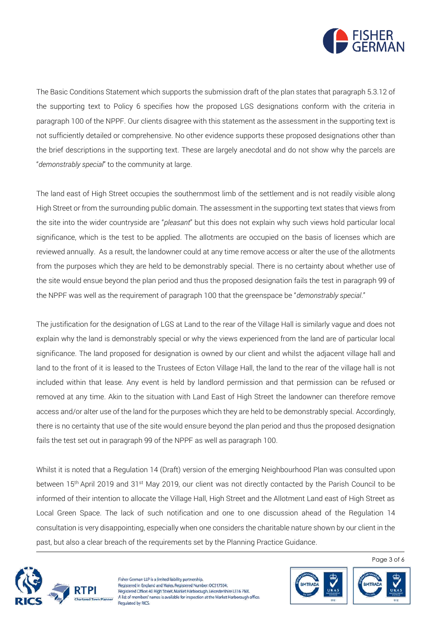

The Basic Conditions Statement which supports the submission draft of the plan states that paragraph 5.3.12 of the supporting text to Policy 6 specifies how the proposed LGS designations conform with the criteria in paragraph 100 of the NPPF. Our clients disagree with this statement as the assessment in the supporting text is not sufficiently detailed or comprehensive. No other evidence supports these proposed designations other than the brief descriptions in the supporting text. These are largely anecdotal and do not show why the parcels are "*demonstrably special*" to the community at large.

The land east of High Street occupies the southernmost limb of the settlement and is not readily visible along High Street or from the surrounding public domain. The assessment in the supporting text states that views from the site into the wider countryside are "*pleasant*" but this does not explain why such views hold particular local significance, which is the test to be applied. The allotments are occupied on the basis of licenses which are reviewed annually. As a result, the landowner could at any time remove access or alter the use of the allotments from the purposes which they are held to be demonstrably special. There is no certainty about whether use of the site would ensue beyond the plan period and thus the proposed designation fails the test in paragraph 99 of the NPPF was well as the requirement of paragraph 100 that the greenspace be "*demonstrably special*."

The justification for the designation of LGS at Land to the rear of the Village Hall is similarly vague and does not explain why the land is demonstrably special or why the views experienced from the land are of particular local significance. The land proposed for designation is owned by our client and whilst the adjacent village hall and land to the front of it is leased to the Trustees of Ecton Village Hall, the land to the rear of the village hall is not included within that lease. Any event is held by landlord permission and that permission can be refused or removed at any time. Akin to the situation with Land East of High Street the landowner can therefore remove access and/or alter use of the land for the purposes which they are held to be demonstrably special. Accordingly, there is no certainty that use of the site would ensure beyond the plan period and thus the proposed designation fails the test set out in paragraph 99 of the NPPF as well as paragraph 100.

Whilst it is noted that a Regulation 14 (Draft) version of the emerging Neighbourhood Plan was consulted upon between 15<sup>th</sup> April 2019 and 31<sup>st</sup> May 2019, our client was not directly contacted by the Parish Council to be informed of their intention to allocate the Village Hall, High Street and the Allotment Land east of High Street as Local Green Space. The lack of such notification and one to one discussion ahead of the Regulation 14 consultation is very disappointing, especially when one considers the charitable nature shown by our client in the past, but also a clear breach of the requirements set by the Planning Practice Guidance.



Fisher German LLP is a limited liability partnership. Registered in England and Wales, Registered Number: OC317554. Registered Office: 40 High Street, Market Harborough, Leicestershire LE16 7NX. A list of members' names is available for inspection at the Market Harborough office. Regulated by RICS.



Page 3 of 6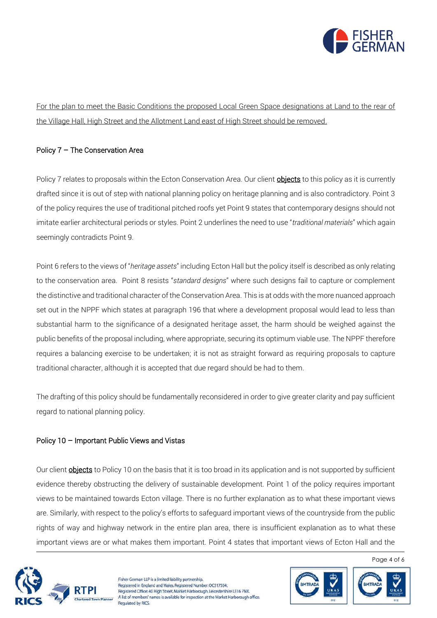

For the plan to meet the Basic Conditions the proposed Local Green Space designations at Land to the rear of the Village Hall, High Street and the Allotment Land east of High Street should be removed.

## Policy 7 – The Conservation Area

Policy 7 relates to proposals within the Ecton Conservation Area. Our client **objects** to this policy as it is currently drafted since it is out of step with national planning policy on heritage planning and is also contradictory. Point 3 of the policy requires the use of traditional pitched roofs yet Point 9 states that contemporary designs should not imitate earlier architectural periods or styles. Point 2 underlines the need to use "*traditional materials*" which again seemingly contradicts Point 9.

Point 6 refers to the views of "*heritage assets*" including Ecton Hall but the policy itself is described as only relating to the conservation area. Point 8 resists "*standard designs*" where such designs fail to capture or complement the distinctive and traditional character of the Conservation Area. This is at odds with the more nuanced approach set out in the NPPF which states at paragraph 196 that where a development proposal would lead to less than substantial harm to the significance of a designated heritage asset, the harm should be weighed against the public benefits of the proposal including, where appropriate, securing its optimum viable use. The NPPF therefore requires a balancing exercise to be undertaken; it is not as straight forward as requiring proposals to capture traditional character, although it is accepted that due regard should be had to them.

The drafting of this policy should be fundamentally reconsidered in order to give greater clarity and pay sufficient regard to national planning policy.

## Policy 10 – Important Public Views and Vistas

Our client **objects** to Policy 10 on the basis that it is too broad in its application and is not supported by sufficient evidence thereby obstructing the delivery of sustainable development. Point 1 of the policy requires important views to be maintained towards Ecton village. There is no further explanation as to what these important views are. Similarly, with respect to the policy's efforts to safeguard important views of the countryside from the public rights of way and highway network in the entire plan area, there is insufficient explanation as to what these important views are or what makes them important. Point 4 states that important views of Ecton Hall and the



Fisher German LLP is a limited liability partnership. Registered in England and Wales, Registered Number: OC317554. Registered Office: 40 High Street, Market Harborough, Leicestershire LE16 7NX. A list of members' names is available for inspection at the Market Harborough office. Regulated by RICS.



Page 4 of 6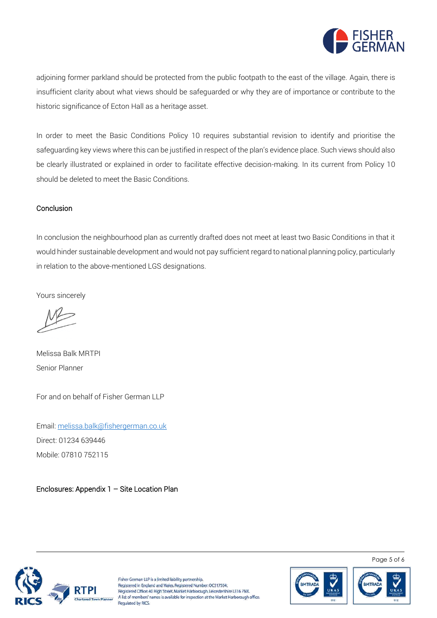

adjoining former parkland should be protected from the public footpath to the east of the village. Again, there is insufficient clarity about what views should be safeguarded or why they are of importance or contribute to the historic significance of Ecton Hall as a heritage asset.

In order to meet the Basic Conditions Policy 10 requires substantial revision to identify and prioritise the safeguarding key views where this can be justified in respect of the plan's evidence place. Such views should also be clearly illustrated or explained in order to facilitate effective decision-making. In its current from Policy 10 should be deleted to meet the Basic Conditions.

## Conclusion

In conclusion the neighbourhood plan as currently drafted does not meet at least two Basic Conditions in that it would hinder sustainable development and would not pay sufficient regard to national planning policy, particularly in relation to the above-mentioned LGS designations.

Yours sincerely

Melissa Balk MRTPI Senior Planner

For and on behalf of Fisher German LLP

Email[: melissa.balk@fishergerman.co.uk](mailto:melissa.balk@fishergerman.co.uk)  Direct: 01234 639446 Mobile: 07810 752115

Enclosures: Appendix 1 – Site Location Plan



Fisher German LLP is a limited liability partnership. Registered in England and Wales, Registered Number: OC317554. Registered Office: 40 High Street, Market Harborough, Leicestershire LE16 7NX. A list of members' names is available for inspection at the Market Harborough office Regulated by RICS.



Page 5 of 6